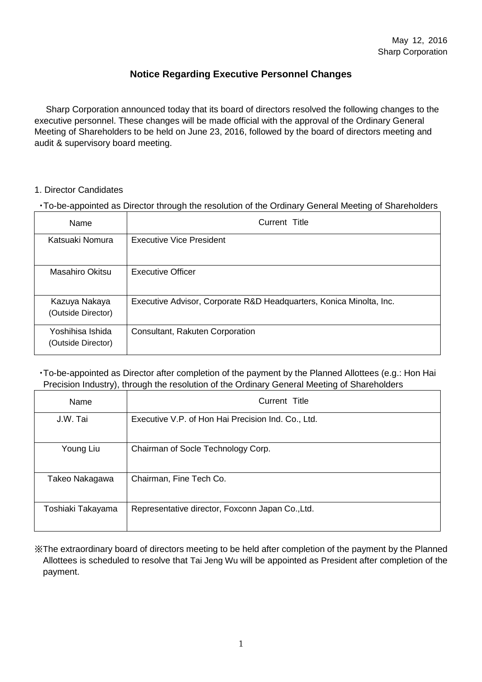## **Notice Regarding Executive Personnel Changes**

Sharp Corporation announced today that its board of directors resolved the following changes to the executive personnel. These changes will be made official with the approval of the Ordinary General Meeting of Shareholders to be held on June 23, 2016, followed by the board of directors meeting and audit & supervisory board meeting.

#### 1. Director Candidates

・To-be-appointed as Director through the resolution of the Ordinary General Meeting of Shareholders

| Name                                   | Current Title                                                       |
|----------------------------------------|---------------------------------------------------------------------|
| Katsuaki Nomura                        | Executive Vice President                                            |
| Masahiro Okitsu                        | Executive Officer                                                   |
| Kazuya Nakaya<br>(Outside Director)    | Executive Advisor, Corporate R&D Headquarters, Konica Minolta, Inc. |
| Yoshihisa Ishida<br>(Outside Director) | Consultant, Rakuten Corporation                                     |

・To-be-appointed as Director after completion of the payment by the Planned Allottees (e.g.: Hon Hai Precision Industry), through the resolution of the Ordinary General Meeting of Shareholders

| Name              | Current Title                                      |
|-------------------|----------------------------------------------------|
| J.W. Tai          | Executive V.P. of Hon Hai Precision Ind. Co., Ltd. |
| Young Liu         | Chairman of Socle Technology Corp.                 |
| Takeo Nakagawa    | Chairman, Fine Tech Co.                            |
| Toshiaki Takayama | Representative director, Foxconn Japan Co., Ltd.   |

※The extraordinary board of directors meeting to be held after completion of the payment by the Planned Allottees is scheduled to resolve that Tai Jeng Wu will be appointed as President after completion of the payment.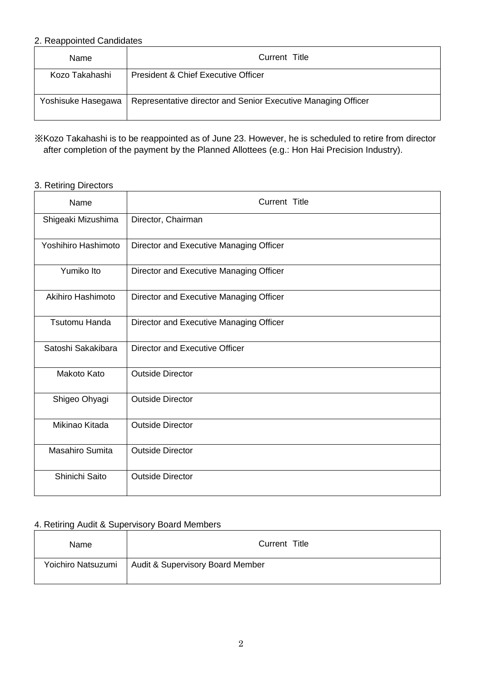#### 2. Reappointed Candidates

| Name               | Current Title                                                 |  |
|--------------------|---------------------------------------------------------------|--|
| Kozo Takahashi     | President & Chief Executive Officer                           |  |
| Yoshisuke Hasegawa | Representative director and Senior Executive Managing Officer |  |

## ※Kozo Takahashi is to be reappointed as of June 23. However, he is scheduled to retire from director after completion of the payment by the Planned Allottees (e.g.: Hon Hai Precision Industry).

### 3. Retiring Directors

| Name                   | Current Title                           |
|------------------------|-----------------------------------------|
| Shigeaki Mizushima     | Director, Chairman                      |
| Yoshihiro Hashimoto    | Director and Executive Managing Officer |
| Yumiko Ito             | Director and Executive Managing Officer |
| Akihiro Hashimoto      | Director and Executive Managing Officer |
| <b>Tsutomu Handa</b>   | Director and Executive Managing Officer |
| Satoshi Sakakibara     | Director and Executive Officer          |
| Makoto Kato            | <b>Outside Director</b>                 |
| Shigeo Ohyagi          | <b>Outside Director</b>                 |
| Mikinao Kitada         | <b>Outside Director</b>                 |
| <b>Masahiro Sumita</b> | <b>Outside Director</b>                 |
| Shinichi Saito         | <b>Outside Director</b>                 |

### 4. Retiring Audit & Supervisory Board Members

| Name               | Current Title                    |
|--------------------|----------------------------------|
| Yoichiro Natsuzumi | Audit & Supervisory Board Member |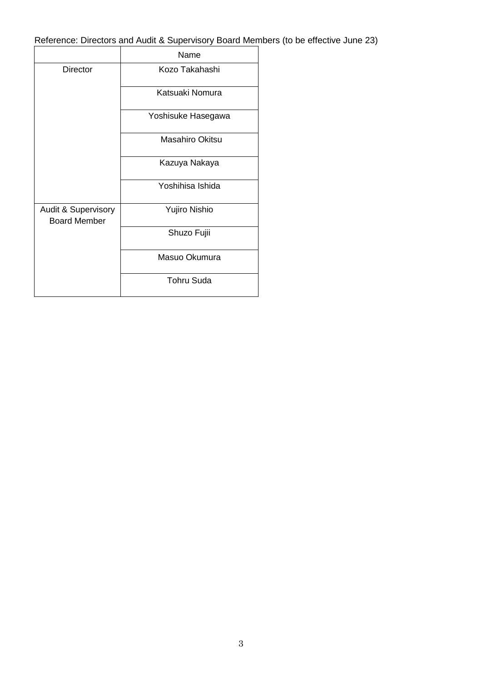Reference: Directors and Audit & Supervisory Board Members (to be effective June 23)

|                                                       | Name               |
|-------------------------------------------------------|--------------------|
| Director                                              | Kozo Takahashi     |
|                                                       | Katsuaki Nomura    |
|                                                       | Yoshisuke Hasegawa |
|                                                       | Masahiro Okitsu    |
|                                                       | Kazuya Nakaya      |
|                                                       | Yoshihisa Ishida   |
| <b>Audit &amp; Supervisory</b><br><b>Board Member</b> | Yujiro Nishio      |
|                                                       | Shuzo Fujii        |
|                                                       | Masuo Okumura      |
|                                                       | <b>Tohru Suda</b>  |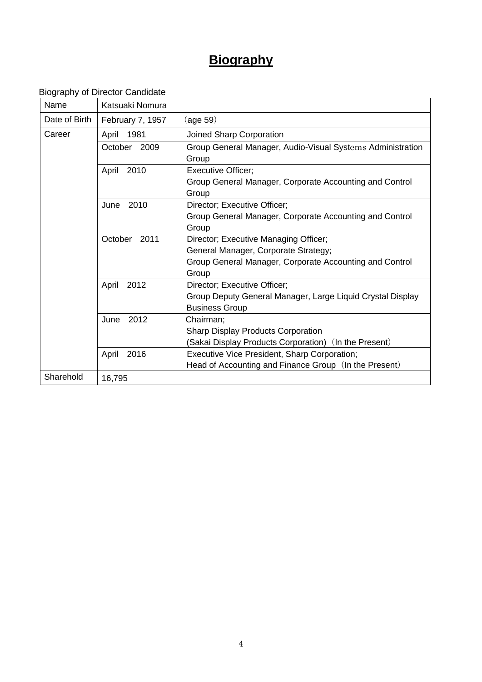# **Biography**

Biography of Director Candidate

| Name          | Katsuaki Nomura  |                                                                     |
|---------------|------------------|---------------------------------------------------------------------|
| Date of Birth | February 7, 1957 | (age 59)                                                            |
| Career        | 1981<br>April    | Joined Sharp Corporation                                            |
|               | October 2009     | Group General Manager, Audio-Visual Systems Administration<br>Group |
|               | 2010<br>April    | <b>Executive Officer;</b>                                           |
|               |                  | Group General Manager, Corporate Accounting and Control<br>Group    |
|               | 2010<br>June     | Director; Executive Officer;                                        |
|               |                  | Group General Manager, Corporate Accounting and Control             |
|               |                  | Group                                                               |
|               | 2011<br>October  | Director; Executive Managing Officer;                               |
|               |                  | General Manager, Corporate Strategy;                                |
|               |                  | Group General Manager, Corporate Accounting and Control<br>Group    |
|               | 2012<br>April    | Director; Executive Officer;                                        |
|               |                  | Group Deputy General Manager, Large Liquid Crystal Display          |
|               |                  | <b>Business Group</b>                                               |
|               | 2012<br>June     | Chairman;                                                           |
|               |                  | <b>Sharp Display Products Corporation</b>                           |
|               |                  | (Sakai Display Products Corporation) (In the Present)               |
|               | 2016<br>April    | Executive Vice President, Sharp Corporation;                        |
|               |                  | Head of Accounting and Finance Group (In the Present)               |
| Sharehold     | 16,795           |                                                                     |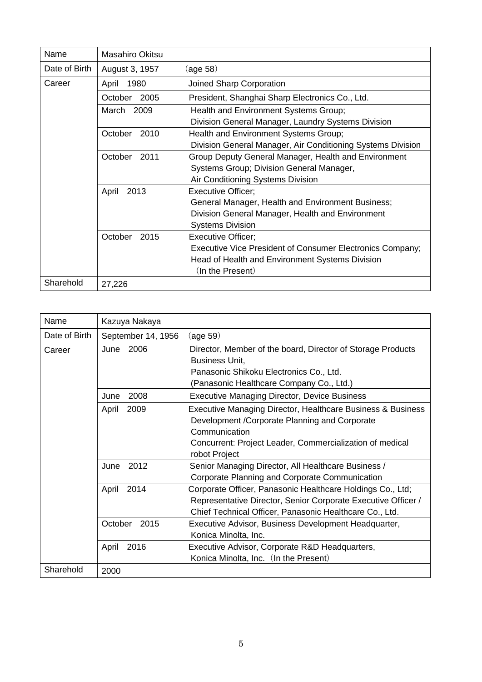| Name          | Masahiro Okitsu |                                                                                                                                                               |
|---------------|-----------------|---------------------------------------------------------------------------------------------------------------------------------------------------------------|
| Date of Birth | August 3, 1957  | (age 58)                                                                                                                                                      |
| Career        | 1980<br>April   | Joined Sharp Corporation                                                                                                                                      |
|               | 2005<br>October | President, Shanghai Sharp Electronics Co., Ltd.                                                                                                               |
|               | 2009<br>March   | Health and Environment Systems Group;<br>Division General Manager, Laundry Systems Division                                                                   |
|               | 2010<br>October | Health and Environment Systems Group;<br>Division General Manager, Air Conditioning Systems Division                                                          |
|               | 2011<br>October | Group Deputy General Manager, Health and Environment<br>Systems Group; Division General Manager,<br>Air Conditioning Systems Division                         |
|               | April<br>2013   | <b>Executive Officer:</b><br>General Manager, Health and Environment Business;<br>Division General Manager, Health and Environment<br><b>Systems Division</b> |
|               | October<br>2015 | <b>Executive Officer;</b><br>Executive Vice President of Consumer Electronics Company;<br>Head of Health and Environment Systems Division<br>(In the Present) |
| Sharehold     | 27,226          |                                                                                                                                                               |

| Name          | Kazuya Nakaya      |                                                                                                                                                                                                             |
|---------------|--------------------|-------------------------------------------------------------------------------------------------------------------------------------------------------------------------------------------------------------|
| Date of Birth | September 14, 1956 | (age 59)                                                                                                                                                                                                    |
| Career        | June 2006          | Director, Member of the board, Director of Storage Products<br><b>Business Unit,</b><br>Panasonic Shikoku Electronics Co., Ltd.<br>(Panasonic Healthcare Company Co., Ltd.)                                 |
|               | 2008<br>June       | <b>Executive Managing Director, Device Business</b>                                                                                                                                                         |
|               | 2009<br>April      | Executive Managing Director, Healthcare Business & Business<br>Development / Corporate Planning and Corporate<br>Communication<br>Concurrent: Project Leader, Commercialization of medical<br>robot Project |
|               | 2012<br>June       | Senior Managing Director, All Healthcare Business /<br>Corporate Planning and Corporate Communication                                                                                                       |
|               | April<br>2014      | Corporate Officer, Panasonic Healthcare Holdings Co., Ltd;<br>Representative Director, Senior Corporate Executive Officer /<br>Chief Technical Officer, Panasonic Healthcare Co., Ltd.                      |
|               | October<br>2015    | Executive Advisor, Business Development Headquarter,<br>Konica Minolta, Inc.                                                                                                                                |
|               | April<br>2016      | Executive Advisor, Corporate R&D Headquarters,<br>Konica Minolta, Inc. (In the Present)                                                                                                                     |
| Sharehold     | 2000               |                                                                                                                                                                                                             |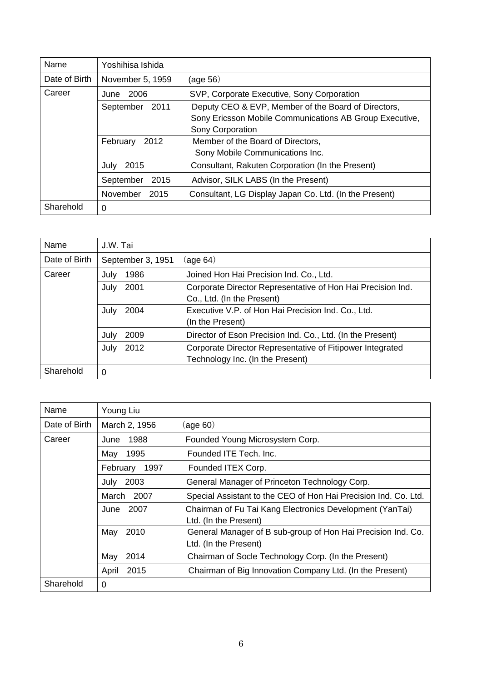| Name          | Yoshihisa Ishida  |                                                         |
|---------------|-------------------|---------------------------------------------------------|
| Date of Birth | November 5, 1959  | (age 56)                                                |
| Career        | 2006<br>June      | SVP, Corporate Executive, Sony Corporation              |
|               | 2011<br>September | Deputy CEO & EVP, Member of the Board of Directors,     |
|               |                   | Sony Ericsson Mobile Communications AB Group Executive, |
|               |                   | Sony Corporation                                        |
|               | 2012<br>February  | Member of the Board of Directors,                       |
|               |                   | Sony Mobile Communications Inc.                         |
|               | July<br>2015      | Consultant, Rakuten Corporation (In the Present)        |
|               | 2015<br>September | Advisor, SILK LABS (In the Present)                     |
|               | November<br>2015  | Consultant, LG Display Japan Co. Ltd. (In the Present)  |
| Sharehold     | 0                 |                                                         |

| Name          | J.W. Tai          |                                                             |
|---------------|-------------------|-------------------------------------------------------------|
| Date of Birth | September 3, 1951 | (aq e 64)                                                   |
| Career        | 1986<br>July      | Joined Hon Hai Precision Ind. Co., Ltd.                     |
|               | 2001<br>July      | Corporate Director Representative of Hon Hai Precision Ind. |
|               |                   | Co., Ltd. (In the Present)                                  |
|               | 2004<br>July      | Executive V.P. of Hon Hai Precision Ind. Co., Ltd.          |
|               |                   | (In the Present)                                            |
|               | 2009<br>July      | Director of Eson Precision Ind. Co., Ltd. (In the Present)  |
|               | 2012<br>July      | Corporate Director Representative of Fitipower Integrated   |
|               |                   | Technology Inc. (In the Present)                            |
| Sharehold     | 0                 |                                                             |

| Name          | Young Liu     |                                                                                       |
|---------------|---------------|---------------------------------------------------------------------------------------|
| Date of Birth | March 2, 1956 | (age 60)                                                                              |
| Career        | 1988<br>June  | Founded Young Microsystem Corp.                                                       |
|               | 1995<br>May   | Founded ITE Tech. Inc.                                                                |
|               | February 1997 | Founded ITEX Corp.                                                                    |
|               | 2003<br>July  | General Manager of Princeton Technology Corp.                                         |
|               | March 2007    | Special Assistant to the CEO of Hon Hai Precision Ind. Co. Ltd.                       |
|               | 2007<br>June  | Chairman of Fu Tai Kang Electronics Development (YanTai)<br>Ltd. (In the Present)     |
|               | May<br>2010   | General Manager of B sub-group of Hon Hai Precision Ind. Co.<br>Ltd. (In the Present) |
|               | May<br>2014   | Chairman of Socle Technology Corp. (In the Present)                                   |
|               | April<br>2015 | Chairman of Big Innovation Company Ltd. (In the Present)                              |
| Sharehold     | 0             |                                                                                       |